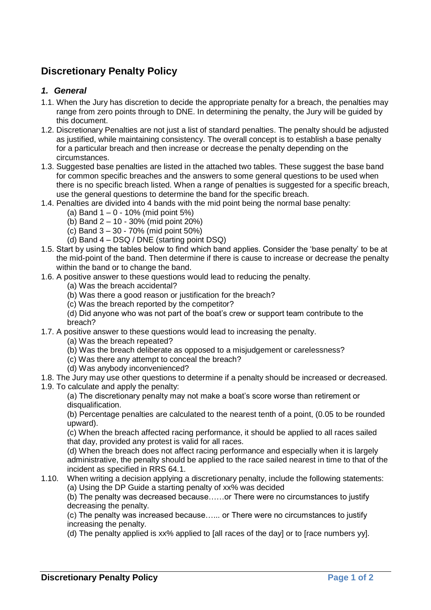# **Discretionary Penalty Policy**

## *1. General*

- 1.1. When the Jury has discretion to decide the appropriate penalty for a breach, the penalties may range from zero points through to DNE. In determining the penalty, the Jury will be guided by this document.
- 1.2. Discretionary Penalties are not just a list of standard penalties. The penalty should be adjusted as justified, while maintaining consistency. The overall concept is to establish a base penalty for a particular breach and then increase or decrease the penalty depending on the circumstances.
- 1.3. Suggested base penalties are listed in the attached two tables. These suggest the base band for common specific breaches and the answers to some general questions to be used when there is no specific breach listed. When a range of penalties is suggested for a specific breach, use the general questions to determine the band for the specific breach.
- 1.4. Penalties are divided into 4 bands with the mid point being the normal base penalty:
	- (a) Band  $1 0 10\%$  (mid point 5%)
	- (b) Band 2 10 30% (mid point 20%)
	- (c) Band 3 30 70% (mid point 50%)
	- (d) Band 4 DSQ / DNE (starting point DSQ)
- 1.5. Start by using the tables below to find which band applies. Consider the 'base penalty' to be at the mid-point of the band. Then determine if there is cause to increase or decrease the penalty within the band or to change the band.
- 1.6. A positive answer to these questions would lead to reducing the penalty.
	- (a) Was the breach accidental?
		- (b) Was there a good reason or justification for the breach?
		- (c) Was the breach reported by the competitor?
		- (d) Did anyone who was not part of the boat's crew or support team contribute to the breach?
- 1.7. A positive answer to these questions would lead to increasing the penalty.
	- (a) Was the breach repeated?
	- (b) Was the breach deliberate as opposed to a misjudgement or carelessness?
	- (c) Was there any attempt to conceal the breach?
	- (d) Was anybody inconvenienced?

1.8. The Jury may use other questions to determine if a penalty should be increased or decreased.

1.9. To calculate and apply the penalty:

(a) The discretionary penalty may not make a boat's score worse than retirement or disqualification.

(b) Percentage penalties are calculated to the nearest tenth of a point, (0.05 to be rounded upward).

(c) When the breach affected racing performance, it should be applied to all races sailed that day, provided any protest is valid for all races.

(d) When the breach does not affect racing performance and especially when it is largely administrative, the penalty should be applied to the race sailed nearest in time to that of the incident as specified in RRS 64.1.

#### 1.10. When writing a decision applying a discretionary penalty, include the following statements: (a) Using the DP Guide a starting penalty of xx% was decided

(b) The penalty was decreased because……or There were no circumstances to justify decreasing the penalty.

(c) The penalty was increased because…... or There were no circumstances to justify increasing the penalty.

(d) The penalty applied is xx% applied to [all races of the day] or to [race numbers yy].